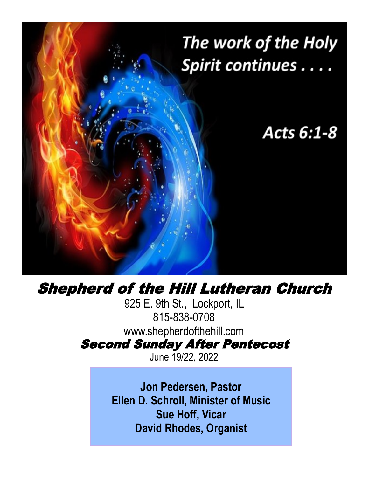

# Shepherd of the Hill Lutheran Church

925 E. 9th St., Lockport, IL 815-838-0708 www.shepherdofthehill.com Second Sunday After Pentecost

June 19/22, 2022

**Jon Pedersen, Pastor Ellen D. Schroll, Minister of Music Sue Hoff, Vicar David Rhodes, Organist**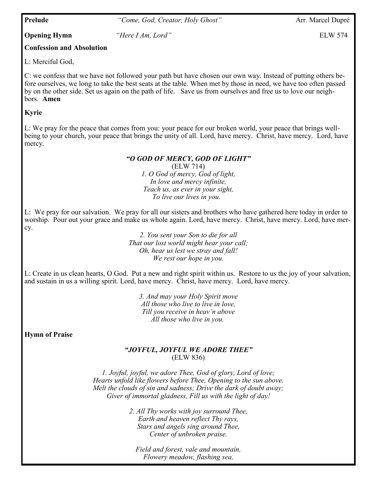**Prelude** *"Come, God, Creator, Holy Ghost"* Arr. Marcel Dupré

**Opening Hymn** *"Here I Am, Lord"* ELW 574

# **Confession and Absolution**

L: Merciful God,

C: we confess that we have not followed your path but have chosen our own way. Instead of putting others before ourselves, we long to take the best seats at the table. When met by those in need, we have too often passed by on the other side. Set us again on the path of life. Save us from ourselves and free us to love our neighbors. **Amen**

## **Kyrie**

L: We pray for the peace that comes from you: your peace for our broken world, your peace that brings wellbeing to your church, your peace that brings the unity of all. Lord, have mercy. Christ, have mercy. Lord, have mercy.

### *"O GOD OF MERCY, GOD OF LIGHT"*

(ELW 714) *1. O God of mercy, God of light, In love and mercy infinite, Teach us, as ever in your sight, To live our lives in you.* 

L: We pray for our salvation. We pray for all our sisters and brothers who have gathered here today in order to worship. Pour out your grace and make us whole again. Lord, have mercy. Christ, have mercy. Lord, have mercy.

> *2. You sent your Son to die for all That our lost world might hear your call; Oh, hear us lest we stray and fall! We rest our hope in you.*

L: Create in us clean hearts, O God. Put a new and right spirit within us. Restore to us the joy of your salvation, and sustain in us a willing spirit. Lord, have mercy. Christ, have mercy. Lord, have mercy.

> *3. And may your Holy Spirit move All those who live to live in love, Till you receive in heav'n above All those who live in you.*

**Hymn of Praise**

### *"JOYFUL, JOYFUL WE ADORE THEE"* (ELW 836)

*1. Joyful, joyful, we adore Thee, God of glory, Lord of love; Hearts unfold like flowers before Thee, Opening to the sun above. Melt the clouds of sin and sadness; Drive the dark of doubt away; Giver of immortal gladness, Fill us with the light of day!*

> Center of unbroken praise. *2. All Thy works with joy surround Thee, Earth and heaven reflect Thy rays, Stars and angels sing around Thee,*

*Field and forest, vale and mountain, Flowery meadow, flashing sea,*